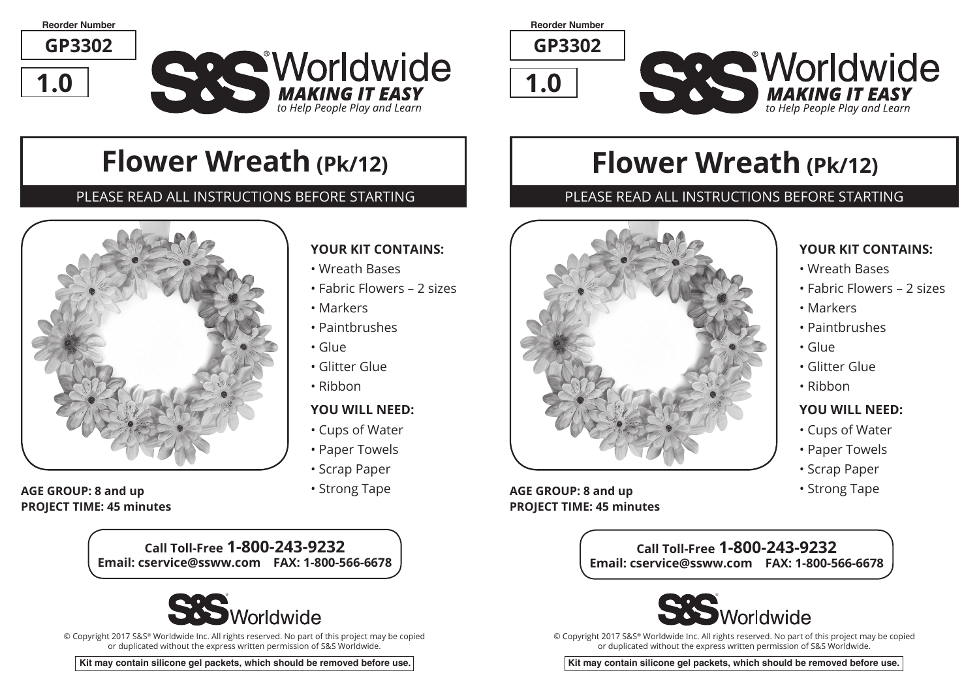**Reorder Number**

**GP3302**





## **Flower Wreath (Pk/12)**

PLEASE READ ALL INSTRUCTIONS BEFORE STARTING PLEASE READ ALL INSTRUCTIONS BEFORE STARTING



#### **Age Group: 8 and up** • Strong Tape **Project Time: 45 minutes**

#### **Your kit contains:**

- Wreath Bases
- Fabric Flowers 2 sizes
- Markers
- Paintbrushes
- Glue
- Glitter Glue
- Ribbon

#### **You WILL NEED:**

- Cups of Water
- Paper Towels
- Scrap Paper
- 

**Age Group: 8 and up** • Strong Tape **Project Time: 45 minutes**

**GP3302 Reorder Number**

**1.0**

# **Flower Wreath (Pk/12)**



### **Your kit contains:**

- Wreath Bases
- Fabric Flowers 2 sizes
- Markers
- Paintbrushes
- Glue

Worldwide

- Glitter Glue
- Ribbon

#### **You WILL NEED:**

- Cups of Water
- Paper Towels
- Scrap Paper
- 

**Call Toll-Free 1-800-243-9232 Email: cservice@ssww.com FAX: 1-800-566-6678**



© Copyright 2017 S&S® Worldwide Inc. All rights reserved. No part of this project may be copied or duplicated without the express written permission of S&S Worldwide.

**Kit may contain silicone gel packets, which should be removed before use.**

**Call Toll-Free 1-800-243-9232 Email: cservice@ssww.com FAX: 1-800-566-6678**



© Copyright 2017 S&S® Worldwide Inc. All rights reserved. No part of this project may be copied or duplicated without the express written permission of S&S Worldwide.

**Kit may contain silicone gel packets, which should be removed before use.**